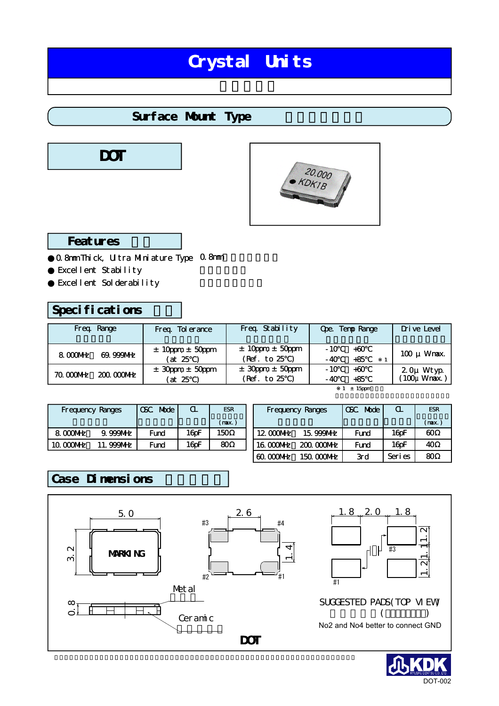# Crystal Units

### Surface Munt Type





#### Features

0.8mm Thick, Ultra Mulniature Type 0.8mm Excellent Stability Excellent Solderability

### Specifications

| Freq Range                | Freq Tolerance                      | Freq Stability                          | Ope. Temp Range                  | Drive Level               |  |
|---------------------------|-------------------------------------|-----------------------------------------|----------------------------------|---------------------------|--|
| 8 COOME<br>$69.999$ MHz   | $\pm$ 10 ppm $\pm$ 50 ppm<br>(at 25 | $\pm$ 10ppm $\pm$ 50ppm<br>(Ref. to 25) | $-10$<br>$+60$<br>$+85$<br>$-40$ | $100 \mu$ Wrax.           |  |
| 70 COONHz<br>$20000$ $WE$ | $\pm$ 30pm $\pm$ 50pm<br>(at 25     | $\pm$ 30pm $\pm$ 50pm<br>(Ref. to 25    | $-10$<br>$+60$<br>$+85$<br>- 40  | 2 Ομ Wtyp<br>(100μ Wmax.) |  |
|                           |                                     |                                         | ± 15 ppm                         |                           |  |

| <b>Frequency Ranges</b> |             | <b>Mode</b><br><b>CSC</b> | $\mathbf u$ | <b>FSR</b> |  |
|-------------------------|-------------|---------------------------|-------------|------------|--|
|                         |             |                           |             | (max)      |  |
| 8 MML                   | $9.999$ MHz | Fund                      | 16pF        | 150        |  |
| 10.000MHz               | 11.999MHz   | 16 oF<br>Fund             |             | ഩ          |  |

| <b>Frequency Ranges</b>   |             | <b>CSC</b> Mode | $\alpha$ | <b>FSR</b> |  |
|---------------------------|-------------|-----------------|----------|------------|--|
|                           |             |                 |          | (max.)     |  |
| $12000$ M $E$             | 15.999NHz   | Fund            | 16pF     | ഩ          |  |
| $16 \text{ O}$ $\text{O}$ | $20000$ MHz | Fund            | 16pF     | 40         |  |
| <u>ബന്ധന് </u>            | 150 000MHz  | 3rd             | Seri es  | ഩ          |  |

### Case Dimensions